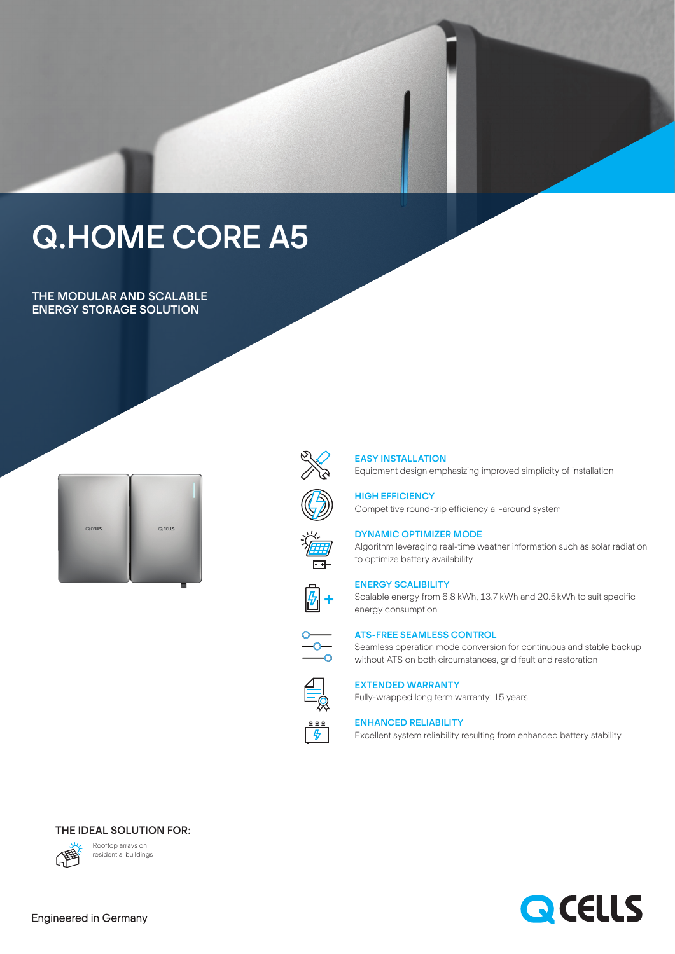# Q.HOME CORE A5

THE MODULAR AND SCALABLE ENERGY STORAGE SOLUTION





#### EASY INSTALLATION

Equipment design emphasizing improved simplicity of installation

HIGH EFFICIENCY Competitive round-trip efficiency all-around system



### DYNAMIC OPTIMIZER MODE

Algorithm leveraging real-time weather information such as solar radiation to optimize battery availability



#### ENERGY SCALIBILITY

Scalable energy from 6.8 kWh, 13.7 kWh and 20.5kWh to suit specific energy consumption



#### ATS-FREE SEAMLESS CONTROL

Seamless operation mode conversion for continuous and stable backup without ATS on both circumstances, grid fault and restoration



## EXTENDED WARRANTY

Fully-wrapped long term warranty: 15 years

#### ENHANCED RELIABILITY

Excellent system reliability resulting from enhanced battery stability





Rooftop arrays on residential buildings